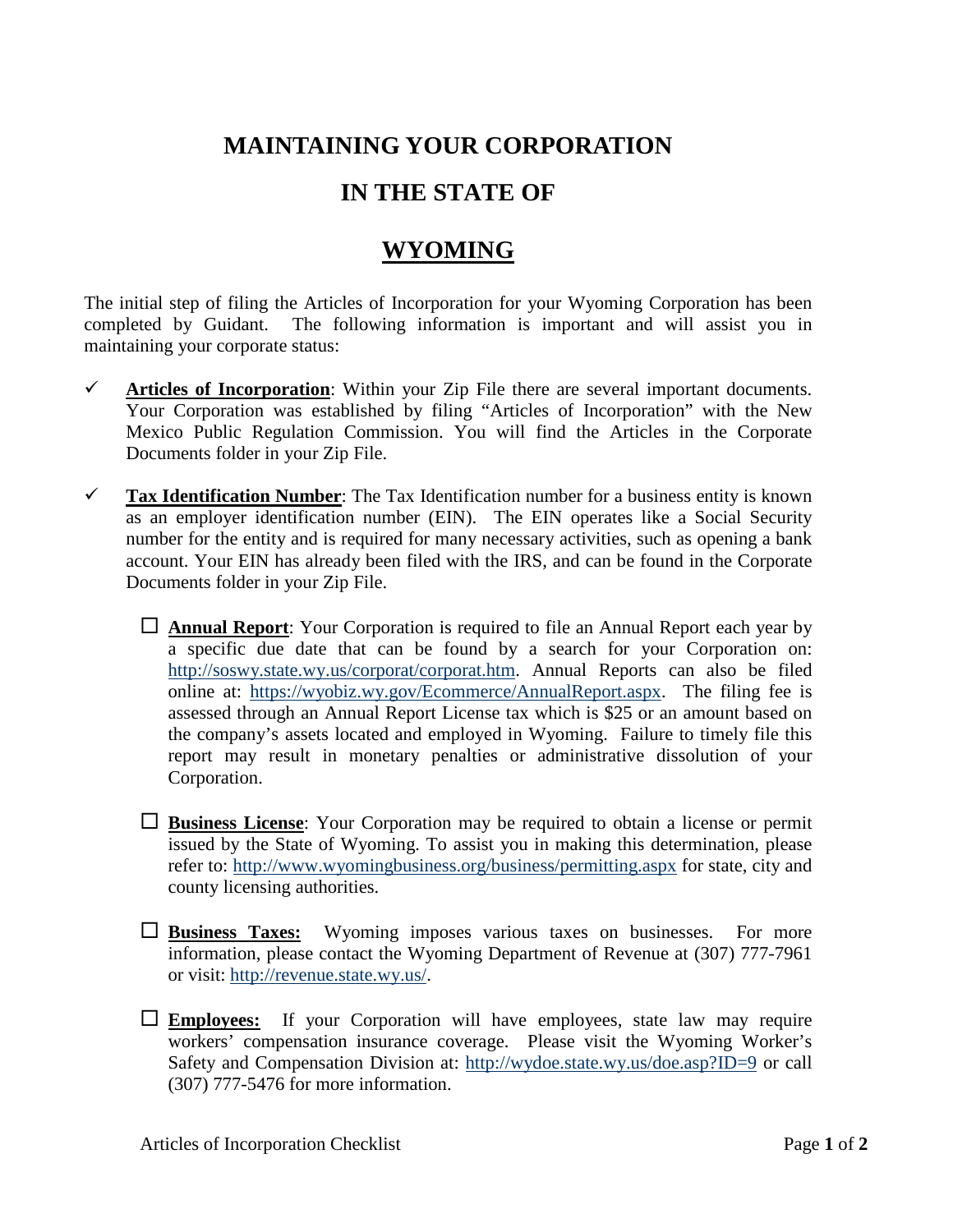## **MAINTAINING YOUR CORPORATION**

## **IN THE STATE OF**

## **WYOMING**

The initial step of filing the Articles of Incorporation for your Wyoming Corporation has been completed by Guidant. The following information is important and will assist you in maintaining your corporate status:

- **Articles of Incorporation**: Within your Zip File there are several important documents. Your Corporation was established by filing "Articles of Incorporation" with the New Mexico Public Regulation Commission. You will find the Articles in the Corporate Documents folder in your Zip File.
- $\checkmark$  **Tax Identification Number**: The Tax Identification number for a business entity is known as an employer identification number (EIN). The EIN operates like a Social Security number for the entity and is required for many necessary activities, such as opening a bank account. Your EIN has already been filed with the IRS, and can be found in the Corporate Documents folder in your Zip File.
	- **Annual Report**: Your Corporation is required to file an Annual Report each year by a specific due date that can be found by a search for your Corporation on: [http://soswy.state.wy.us/corporat/corporat.htm.](http://soswy.state.wy.us/corporat/corporat.htm) Annual Reports can also be filed online at: [https://wyobiz.wy.gov/Ecommerce/AnnualReport.aspx.](https://wyobiz.wy.gov/Ecommerce/AnnualReport.aspx) The filing fee is assessed through an Annual Report License tax which is \$25 or an amount based on the company's assets located and employed in Wyoming. Failure to timely file this report may result in monetary penalties or administrative dissolution of your Corporation.
	- **Business License**: Your Corporation may be required to obtain a license or permit issued by the State of Wyoming. To assist you in making this determination, please refer to:<http://www.wyomingbusiness.org/business/permitting.aspx> for state, city and county licensing authorities.
	- **Business Taxes:** Wyoming imposes various taxes on businesses. For more information, please contact the Wyoming Department of Revenue at (307) 777-7961 or visit: [http://revenue.state.wy.us/.](http://revenue.state.wy.us/)
	- **Employees:** If your Corporation will have employees, state law may require workers' compensation insurance coverage. Please visit the Wyoming Worker's Safety and Compensation Division at:<http://wydoe.state.wy.us/doe.asp?ID=9> or call (307) 777-5476 for more information.